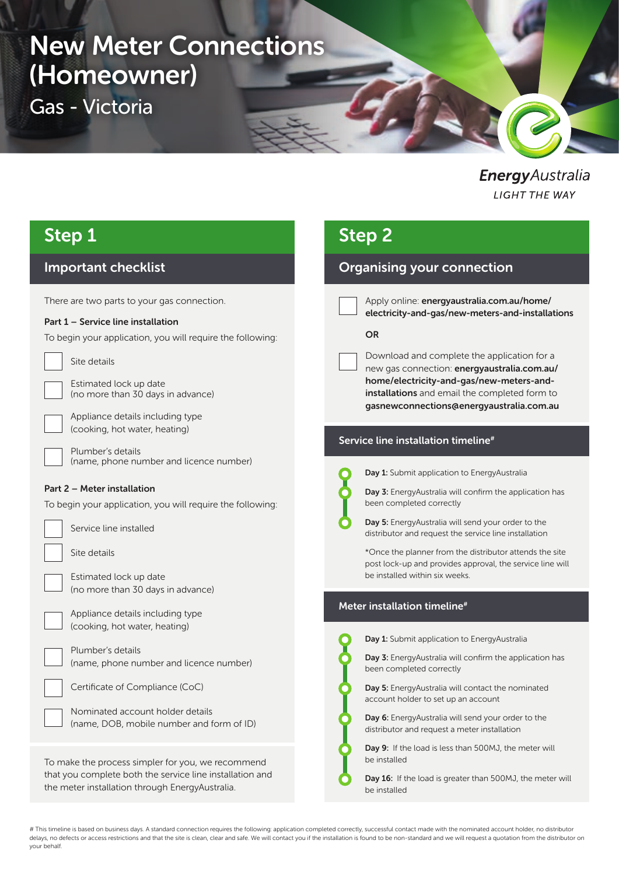# New Meter Connections (Homeowner)

Gas - Victoria

EnergyAustralia **LIGHT THE WAY** 

## Step 1

### Important checklist

There are two parts to your gas connection.

#### Part 1 – Service line installation

To begin your application, you will require the following:

Site details

Estimated lock up date (no more than 30 days in advance)

Appliance details including type (cooking, hot water, heating)

Plumber's details (name, phone number and licence number)

#### Part 2 – Meter installation

To begin your application, you will require the following:

Service line installed

Site details

Estimated lock up date (no more than 30 days in advance)

Appliance details including type (cooking, hot water, heating)

| Plumber's details                       |  |
|-----------------------------------------|--|
| (name, phone number and licence number) |  |

| Certificate of Compliance (CoC) |  |  |
|---------------------------------|--|--|
|                                 |  |  |
|                                 |  |  |

Nominated account holder details (name, DOB, mobile number and form of ID)

To make the process simpler for you, we recommend that you complete both the service line installation and the meter installation through EnergyAustralia.

## Step 2

### Organising your connection

Apply online: energyaustralia.com.au/home/ electricity-and-gas/new-meters-and-installations

#### **OR**

Download and complete the application for a new gas connection: energyaustralia.com.au/ home/electricity-and-gas/new-meters-andinstallations and email the completed form to gasnewconnections@energyaustralia.com.au

#### Service line installation timeline<sup>#</sup>



Day 1: Submit application to EnergyAustralia



Day 5: EnergyAustralia will send your order to the distributor and request the service line installation

\*Once the planner from the distributor attends the site post lock-up and provides approval, the service line will be installed within six weeks.

#### Meter installation timeline#



Day 1: Submit application to EnergyAustralia

Day 3: EnergyAustralia will confirm the application has been completed correctly

Day 5: EnergyAustralia will contact the nominated account holder to set up an account

Day 6: EnergyAustralia will send your order to the distributor and request a meter installation

Day 9: If the load is less than 500MJ, the meter will be installed

Day 16: If the load is greater than 500MJ, the meter will be installed

# This timeline is based on business days. A standard connection requires the following: application completed correctly, successful contact made with the nominated account holder, no distributor delays, no defects or access restrictions and that the site is clean, clear and safe. We will contact you if the installation is found to be non-standard and we will request a quotation from the distributor on your behalf.